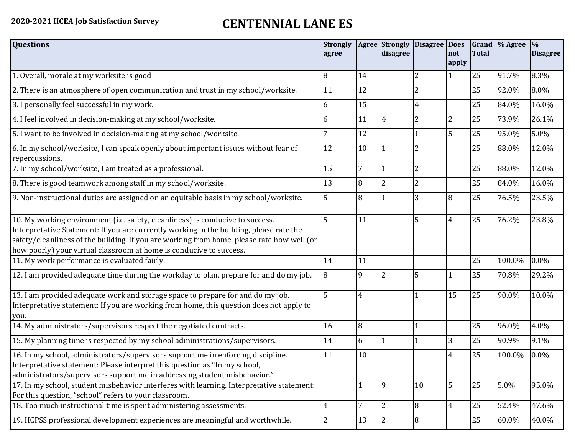## **2020-2021 HCEA Job Satisfaction Survey CENTENNIAL LANE ES**

| <b>Questions</b>                                                                                                                                                                                                                                                                                                                               | <b>Strongly</b><br>agree |              | Agree Strongly<br>disagree | <b>Disagree</b> | <b>Does</b><br>not<br>apply | <b>Total</b> | Grand \% Agree | $\frac{9}{6}$<br><b>Disagree</b> |
|------------------------------------------------------------------------------------------------------------------------------------------------------------------------------------------------------------------------------------------------------------------------------------------------------------------------------------------------|--------------------------|--------------|----------------------------|-----------------|-----------------------------|--------------|----------------|----------------------------------|
| 1. Overall, morale at my worksite is good                                                                                                                                                                                                                                                                                                      | 8                        | 14           |                            | 2               |                             | 25           | 91.7%          | 8.3%                             |
| 2. There is an atmosphere of open communication and trust in my school/worksite.                                                                                                                                                                                                                                                               | 11                       | 12           |                            | 2               |                             | 25           | 92.0%          | 8.0%                             |
| 3. I personally feel successful in my work.                                                                                                                                                                                                                                                                                                    | 6                        | 15           |                            | 4               |                             | 25           | 84.0%          | 16.0%                            |
| 4. I feel involved in decision-making at my school/worksite.                                                                                                                                                                                                                                                                                   | 6                        | 11           | 4                          | 2               | $\overline{2}$              | 25           | 73.9%          | 26.1%                            |
| 5. I want to be involved in decision-making at my school/worksite.                                                                                                                                                                                                                                                                             |                          | 12           |                            |                 | 5                           | 25           | 95.0%          | 5.0%                             |
| 6. In my school/worksite, I can speak openly about important issues without fear of<br>repercussions.                                                                                                                                                                                                                                          | 12                       | 10           |                            |                 |                             | 25           | 88.0%          | 12.0%                            |
| 7. In my school/worksite, I am treated as a professional.                                                                                                                                                                                                                                                                                      | 15                       | 7            |                            | 2               |                             | 25           | 88.0%          | 12.0%                            |
| 8. There is good teamwork among staff in my school/worksite.                                                                                                                                                                                                                                                                                   | 13                       | 8            | $\overline{2}$             | $\overline{2}$  |                             | 25           | 84.0%          | 16.0%                            |
| 9. Non-instructional duties are assigned on an equitable basis in my school/worksite.                                                                                                                                                                                                                                                          | 5                        | 8            |                            | 3               | 8                           | 25           | 76.5%          | 23.5%                            |
| 10. My working environment (i.e. safety, cleanliness) is conducive to success.<br>Interpretative Statement: If you are currently working in the building, please rate the<br>safety/cleanliness of the building. If you are working from home, please rate how well (or<br>how poorly) your virtual classroom at home is conducive to success. | 5                        | 11           |                            | 5               | $\overline{4}$              | 25           | 76.2%          | 23.8%                            |
| 11. My work performance is evaluated fairly.                                                                                                                                                                                                                                                                                                   | 14                       | 11           |                            |                 |                             | 25           | 100.0%         | 0.0%                             |
| 12. I am provided adequate time during the workday to plan, prepare for and do my job.                                                                                                                                                                                                                                                         | 8                        | 9            |                            | 5               |                             | 25           | 70.8%          | 29.2%                            |
| 13. I am provided adequate work and storage space to prepare for and do my job.<br>Interpretative statement: If you are working from home, this question does not apply to<br>you.                                                                                                                                                             | 5                        | 4            |                            |                 | 15                          | 25           | 90.0%          | 10.0%                            |
| 14. My administrators/supervisors respect the negotiated contracts.                                                                                                                                                                                                                                                                            | 16                       | 8            |                            |                 |                             | 25           | 96.0%          | 4.0%                             |
| 15. My planning time is respected by my school administrations/supervisors.                                                                                                                                                                                                                                                                    | 14                       | 6            |                            |                 | 3                           | 25           | 90.9%          | 9.1%                             |
| 16. In my school, administrators/supervisors support me in enforcing discipline.<br>Interpretative statement: Please interpret this question as "In my school,<br>administrators/supervisors support me in addressing student misbehavior."                                                                                                    | 11                       | 10           |                            |                 | 4                           | 25           | 100.0%         | 0.0%                             |
| 17. In my school, student misbehavior interferes with learning. Interpretative statement:<br>For this question, "school" refers to your classroom.                                                                                                                                                                                             |                          | $\mathbf{1}$ | 9                          | 10              | 5                           | 25           | 5.0%           | 95.0%                            |
| 18. Too much instructional time is spent administering assessments.                                                                                                                                                                                                                                                                            | $\overline{4}$           | 7            | $\overline{2}$             | $\overline{8}$  | $\overline{4}$              | 25           | 52.4%          | 47.6%                            |
| 19. HCPSS professional development experiences are meaningful and worthwhile.                                                                                                                                                                                                                                                                  | $\overline{2}$           | 13           | $\overline{2}$             | $\overline{8}$  |                             | 25           | 60.0%          | 40.0%                            |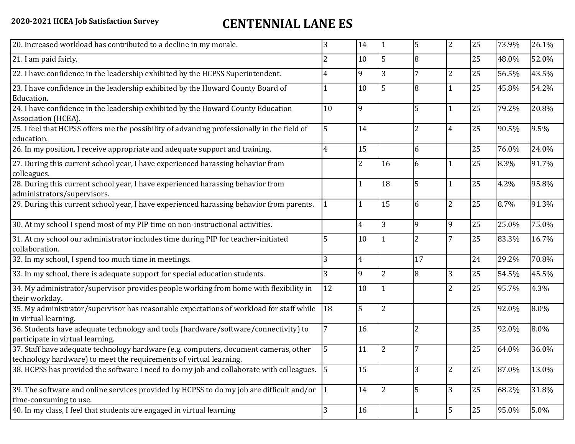## **2020-2021 HCEA Job Satisfaction Survey CENTENNIAL LANE ES**

| 3                                                                                       | 14                                                                                                                                                                                               |                | 5              | $\overline{2}$ | 25 | 73.9% | 26.1% |
|-----------------------------------------------------------------------------------------|--------------------------------------------------------------------------------------------------------------------------------------------------------------------------------------------------|----------------|----------------|----------------|----|-------|-------|
| 2                                                                                       | 10                                                                                                                                                                                               | 5              | 8              |                | 25 | 48.0% | 52.0% |
| 4                                                                                       | 9                                                                                                                                                                                                | 3              | 7              | $\overline{c}$ | 25 | 56.5% | 43.5% |
|                                                                                         | 10                                                                                                                                                                                               | 5              | 8              |                | 25 | 45.8% | 54.2% |
| 10                                                                                      | 9                                                                                                                                                                                                |                | 5              | $\mathbf{1}$   | 25 | 79.2% | 20.8% |
| 5                                                                                       | 14                                                                                                                                                                                               |                | 2              | $\overline{4}$ | 25 | 90.5% | 9.5%  |
| 4                                                                                       | 15                                                                                                                                                                                               |                | 6              |                | 25 | 76.0% | 24.0% |
|                                                                                         | 2                                                                                                                                                                                                | 16             | 6              |                | 25 | 8.3%  | 91.7% |
|                                                                                         |                                                                                                                                                                                                  | 18             | 5              |                | 25 | 4.2%  | 95.8% |
|                                                                                         |                                                                                                                                                                                                  | 15             | 6              | $\overline{2}$ | 25 | 8.7%  | 91.3% |
|                                                                                         | $\overline{4}$                                                                                                                                                                                   | 3              | 9              | 9              | 25 | 25.0% | 75.0% |
| 5                                                                                       | 10                                                                                                                                                                                               |                | $\overline{2}$ | 7              | 25 | 83.3% | 16.7% |
| 3                                                                                       | $\overline{4}$                                                                                                                                                                                   |                | 17             |                | 24 | 29.2% | 70.8% |
| 3                                                                                       | 9                                                                                                                                                                                                | $\overline{2}$ | 8              | 3              | 25 | 54.5% | 45.5% |
| 12                                                                                      | 10                                                                                                                                                                                               |                |                | $\overline{2}$ | 25 | 95.7% | 4.3%  |
| 18                                                                                      | 5                                                                                                                                                                                                | $\overline{2}$ |                |                | 25 | 92.0% | 8.0%  |
|                                                                                         | 16                                                                                                                                                                                               |                | $\overline{2}$ |                | 25 | 92.0% | 8.0%  |
|                                                                                         | 11                                                                                                                                                                                               | 2              |                |                | 25 | 64.0% | 36.0% |
|                                                                                         | 15                                                                                                                                                                                               |                | 3              | $\overline{c}$ | 25 | 87.0% | 13.0% |
|                                                                                         | 14                                                                                                                                                                                               | $\overline{2}$ | 5              | 3              | 25 | 68.2% | 31.8% |
| 3                                                                                       | 16                                                                                                                                                                                               |                |                | 5              | 25 | 95.0% | 5.0%  |
| 35. My administrator/supervisor has reasonable expectations of workload for staff while | 38. HCPSS has provided the software I need to do my job and collaborate with colleagues. 5<br>39. The software and online services provided by HCPSS to do my job are difficult and/or $\vert$ 1 |                |                |                |    |       |       |